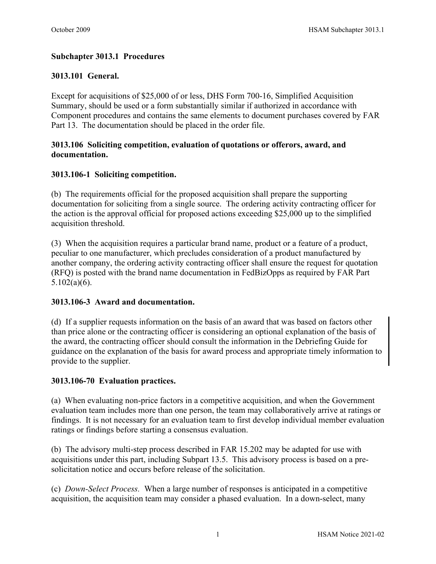# **Subchapter 3013.1 Procedures**

## **3013.101 General.**

Except for acquisitions of \$25,000 of or less, DHS Form 700-16, Simplified Acquisition Summary, should be used or a form substantially similar if authorized in accordance with Component procedures and contains the same elements to document purchases covered by [FAR](http://www.acqnet.gov/far/current/html/FARTOCP13.html#226850)  [Part 13.](http://www.acqnet.gov/far/current/html/FARTOCP13.html#226850) The documentation should be placed in the order file.

### **3013.106 Soliciting competition, evaluation of quotations or offerors, award, and documentation.**

### **3013.106-1 Soliciting competition.**

(b) The requirements official for the proposed acquisition shall prepare the supporting documentation for soliciting from a single source. The ordering activity contracting officer for the action is the approval official for proposed actions exceeding \$25,000 up to the simplified acquisition threshold.

(3) When the acquisition requires a particular brand name, product or a feature of a product, peculiar to one manufacturer, which precludes consideration of a product manufactured by another company, the ordering activity contracting officer shall ensure the request for quotation (RFQ) is posted with the brand name documentation in FedBizOpps as required by FAR Part 5.102(a)(6).

### **3013.106-3 Award and documentation.**

(d) If a supplier requests information on the basis of an award that was based on factors other than price alone or the contracting officer is considering an optional explanation of the basis of the award, the contracting officer should consult the information in the Debriefing Guide for guidance on the explanation of the basis for award process and appropriate timely information to provide to the supplier.

### **3013.106-70 Evaluation practices.**

(a) When evaluating non-price factors in a competitive acquisition, and when the Government evaluation team includes more than one person, the team may collaboratively arrive at ratings or findings. It is not necessary for an evaluation team to first develop individual member evaluation ratings or findings before starting a consensus evaluation.

(b) The advisory multi-step process described in FAR 15.202 may be adapted for use with acquisitions under this part, including Subpart 13.5. This advisory process is based on a presolicitation notice and occurs before release of the solicitation.

(c) *Down-Select Process.* When a large number of responses is anticipated in a competitive acquisition, the acquisition team may consider a phased evaluation. In a down-select, many